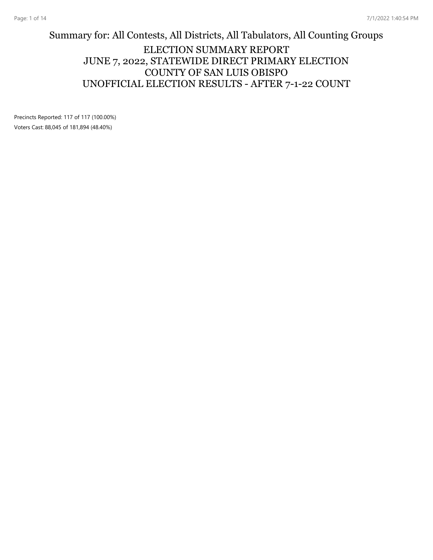### Summary for: All Contests, All Districts, All Tabulators, All Counting Groups ELECTION SUMMARY REPORT JUNE 7, 2022, STATEWIDE DIRECT PRIMARY ELECTION COUNTY OF SAN LUIS OBISPO UNOFFICIAL ELECTION RESULTS - AFTER 7-1-22 COUNT

Precincts Reported: 117 of 117 (100.00%) Voters Cast: 88,045 of 181,894 (48.40%)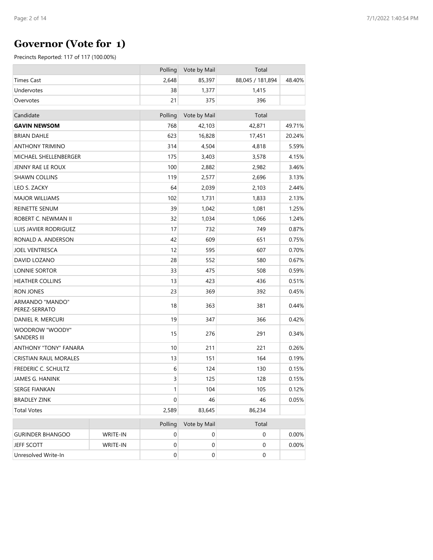## **Governor (Vote for 1)**

|                                       |          | Polling          | Vote by Mail | Total            |        |
|---------------------------------------|----------|------------------|--------------|------------------|--------|
| Times Cast                            |          | 2,648            | 85,397       | 88,045 / 181,894 | 48.40% |
| Undervotes                            |          | 38               | 1,377        | 1,415            |        |
| Overvotes                             |          | 21               | 375          | 396              |        |
| Candidate                             |          | Polling          | Vote by Mail | Total            |        |
| <b>GAVIN NEWSOM</b>                   |          | 768              | 42,103       | 42,871           | 49.71% |
| <b>BRIAN DAHLE</b>                    |          | 623              | 16,828       | 17,451           | 20.24% |
| <b>ANTHONY TRIMINO</b>                |          | 314              | 4,504        | 4,818            | 5.59%  |
| MICHAEL SHELLENBERGER                 |          | 175              | 3,403        | 3,578            | 4.15%  |
| JENNY RAE LE ROUX                     |          | 100              | 2,882        | 2,982            | 3.46%  |
| <b>SHAWN COLLINS</b>                  |          | 119              | 2,577        | 2,696            | 3.13%  |
| LEO S. ZACKY                          |          | 64               | 2,039        | 2,103            | 2.44%  |
| <b>MAJOR WILLIAMS</b>                 |          | 102              | 1,731        | 1,833            | 2.13%  |
| REINETTE SENUM                        |          | 39               | 1,042        | 1,081            | 1.25%  |
| ROBERT C. NEWMAN II                   |          | 32               | 1,034        | 1,066            | 1.24%  |
| LUIS JAVIER RODRIGUEZ                 |          | 17               | 732          | 749              | 0.87%  |
| RONALD A. ANDERSON                    |          | 42               | 609          | 651              | 0.75%  |
| <b>JOEL VENTRESCA</b>                 |          | 12               | 595          | 607              | 0.70%  |
| DAVID LOZANO                          |          | 28               | 552          | 580              | 0.67%  |
| LONNIE SORTOR                         |          | 33               | 475          | 508              | 0.59%  |
| <b>HEATHER COLLINS</b>                |          | 13               | 423          | 436              | 0.51%  |
| RON JONES                             |          | 23               | 369          | 392              | 0.45%  |
| ARMANDO "MANDO"<br>PEREZ-SERRATO      |          | 18               | 363          | 381              | 0.44%  |
| DANIEL R. MERCURI                     |          | 19               | 347          | 366              | 0.42%  |
| WOODROW "WOODY"<br><b>SANDERS III</b> |          | 15               | 276          | 291              | 0.34%  |
| <b>ANTHONY "TONY" FANARA</b>          |          | 10               | 211          | 221              | 0.26%  |
| <b>CRISTIAN RAUL MORALES</b>          |          | 13               | 151          | 164              | 0.19%  |
| <b>FREDERIC C. SCHULTZ</b>            |          | 6                | 124          | 130              | 0.15%  |
| JAMES G. HANINK                       |          | 3                | 125          | 128              | 0.15%  |
| <b>SERGE FIANKAN</b>                  |          | $\mathbf{1}$     | 104          | 105              | 0.12%  |
| <b>BRADLEY ZINK</b>                   |          | $\boldsymbol{0}$ | 46           | 46               | 0.05%  |
| <b>Total Votes</b>                    |          | 2,589            | 83,645       | 86,234           |        |
|                                       |          | Polling          | Vote by Mail | Total            |        |
| <b>GURINDER BHANGOO</b>               | WRITE-IN | $\pmb{0}$        | 0            | $\pmb{0}$        | 0.00%  |
| JEFF SCOTT                            | WRITE-IN | $\boldsymbol{0}$ | $\pmb{0}$    | $\pmb{0}$        | 0.00%  |
| Unresolved Write-In                   |          | $\boldsymbol{0}$ | 0            | $\pmb{0}$        |        |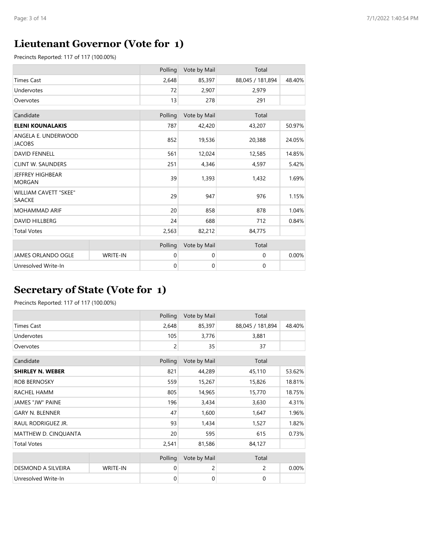## **Lieutenant Governor (Vote for 1)**

Precincts Reported: 117 of 117 (100.00%)

|                                               |                 | Polling     | Vote by Mail | Total            |        |
|-----------------------------------------------|-----------------|-------------|--------------|------------------|--------|
| <b>Times Cast</b>                             |                 | 2,648       | 85,397       | 88,045 / 181,894 | 48.40% |
| Undervotes                                    |                 | 72          | 2,907        | 2,979            |        |
| Overvotes                                     |                 | 13          | 278          | 291              |        |
| Candidate                                     |                 | Polling     | Vote by Mail | Total            |        |
| <b>ELENI KOUNALAKIS</b>                       |                 | 787         | 42,420       | 43,207           | 50.97% |
| ANGELA E. UNDERWOOD<br><b>JACOBS</b>          |                 | 852         | 19,536       | 20,388           | 24.05% |
| <b>DAVID FENNELL</b>                          |                 | 561         | 12,024       | 12,585           | 14.85% |
| <b>CLINT W. SAUNDERS</b>                      |                 | 251         | 4,346        | 4,597            | 5.42%  |
| <b>JEFFREY HIGHBEAR</b><br><b>MORGAN</b>      |                 | 39          | 1,393        | 1,432            | 1.69%  |
| <b>WILLIAM CAVETT "SKEE"</b><br><b>SAACKE</b> |                 | 29          | 947          | 976              | 1.15%  |
| <b>MOHAMMAD ARIF</b>                          |                 | 20          | 858          | 878              | 1.04%  |
| <b>DAVID HILLBERG</b>                         |                 | 24          | 688          | 712              | 0.84%  |
| <b>Total Votes</b>                            |                 | 2,563       | 82,212       | 84,775           |        |
|                                               |                 | Polling     | Vote by Mail | Total            |        |
| <b>JAMES ORLANDO OGLE</b>                     | <b>WRITE-IN</b> | 0           | 0            | 0                | 0.00%  |
| Unresolved Write-In                           |                 | $\mathbf 0$ | 0            | 0                |        |

## **Secretary of State (Vote for 1)**

|                         |                 | Polling | Vote by Mail | Total            |        |
|-------------------------|-----------------|---------|--------------|------------------|--------|
| <b>Times Cast</b>       |                 | 2,648   | 85,397       | 88,045 / 181,894 | 48.40% |
| Undervotes              |                 | 105     | 3,776        | 3,881            |        |
| Overvotes               |                 | 2       | 35           | 37               |        |
| Candidate               |                 | Polling | Vote by Mail | Total            |        |
| <b>SHIRLEY N. WEBER</b> |                 | 821     | 44,289       | 45,110           | 53.62% |
| <b>ROB BERNOSKY</b>     |                 | 559     | 15,267       | 15,826           | 18.81% |
| RACHEL HAMM             |                 | 805     | 14,965       | 15,770           | 18.75% |
| <b>JAMES "JW" PAINE</b> |                 | 196     | 3,434        | 3,630            | 4.31%  |
| <b>GARY N. BLENNER</b>  |                 | 47      | 1,600        | 1,647            | 1.96%  |
| RAUL RODRIGUEZ JR.      |                 | 93      | 1,434        | 1,527            | 1.82%  |
| MATTHEW D. CINQUANTA    |                 | 20      | 595          | 615              | 0.73%  |
| <b>Total Votes</b>      |                 | 2,541   | 81,586       | 84,127           |        |
|                         |                 | Polling | Vote by Mail | Total            |        |
| DESMOND A SILVEIRA      | <b>WRITE-IN</b> | 0       | 2            | $\overline{c}$   | 0.00%  |
| Unresolved Write-In     |                 | 0       | $\mathbf 0$  | 0                |        |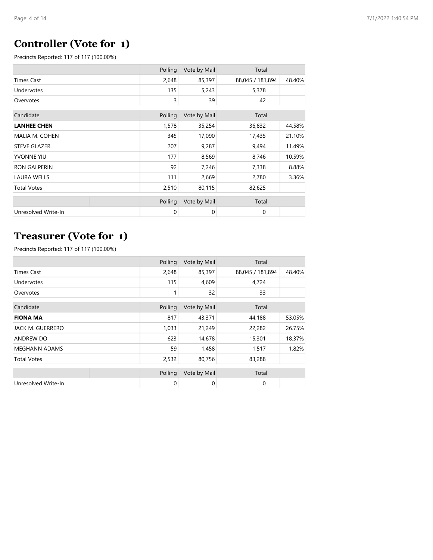## **Controller (Vote for 1)**

Precincts Reported: 117 of 117 (100.00%)

|                     | Polling | Vote by Mail | Total            |        |
|---------------------|---------|--------------|------------------|--------|
| <b>Times Cast</b>   | 2,648   | 85,397       | 88,045 / 181,894 | 48.40% |
| Undervotes          | 135     | 5,243        | 5,378            |        |
| Overvotes           | 3       | 39           | 42               |        |
|                     |         |              |                  |        |
| Candidate           | Polling | Vote by Mail | Total            |        |
| <b>LANHEE CHEN</b>  | 1,578   | 35,254       | 36,832           | 44.58% |
| MALIA M. COHEN      | 345     | 17,090       | 17,435           | 21.10% |
| <b>STEVE GLAZER</b> | 207     | 9,287        | 9,494            | 11.49% |
| <b>YVONNE YIU</b>   | 177     | 8,569        | 8,746            | 10.59% |
| <b>RON GALPERIN</b> | 92      | 7,246        | 7,338            | 8.88%  |
| <b>LAURA WELLS</b>  | 111     | 2,669        | 2,780            | 3.36%  |
| <b>Total Votes</b>  | 2,510   | 80,115       | 82,625           |        |
|                     | Polling | Vote by Mail | Total            |        |
|                     |         |              |                  |        |
| Unresolved Write-In | 0       | 0            | 0                |        |

## **Treasurer (Vote for 1)**

|                         | Polling | Vote by Mail | Total            |        |
|-------------------------|---------|--------------|------------------|--------|
| <b>Times Cast</b>       | 2,648   | 85,397       | 88,045 / 181,894 | 48.40% |
| Undervotes              | 115     | 4,609        | 4,724            |        |
| Overvotes               |         | 32           | 33               |        |
| Candidate               | Polling | Vote by Mail | Total            |        |
| <b>FIONA MA</b>         | 817     | 43,371       | 44,188           | 53.05% |
| <b>JACK M. GUERRERO</b> | 1,033   | 21,249       | 22,282           | 26.75% |
| <b>ANDREW DO</b>        | 623     | 14,678       | 15,301           | 18.37% |
| <b>MEGHANN ADAMS</b>    | 59      | 1,458        | 1,517            | 1.82%  |
| <b>Total Votes</b>      | 2,532   | 80,756       | 83,288           |        |
|                         | Polling | Vote by Mail | Total            |        |
| Unresolved Write-In     | 0       | 0            | 0                |        |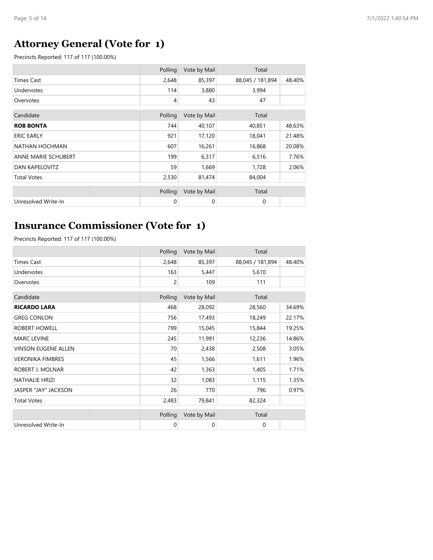# **Attorney General (Vote for 1)**

Precincts Reported: 117 of 117 (100.00%)

|                       | Polling | Vote by Mail | Total            |        |
|-----------------------|---------|--------------|------------------|--------|
| Times Cast            | 2,648   | 85,397       | 88,045 / 181,894 | 48.40% |
| Undervotes            | 114     | 3,880        | 3,994            |        |
| Overvotes             | 4       | 43           | 47               |        |
|                       |         |              |                  |        |
| Candidate             | Polling | Vote by Mail | Total            |        |
| <b>ROB BONTA</b>      | 744     | 40,107       | 40,851           | 48.63% |
| <b>ERIC EARLY</b>     | 921     | 17,120       | 18,041           | 21.48% |
| NATHAN HOCHMAN        | 607     | 16,261       | 16,868           | 20.08% |
| ANNE MARIE SCHUBERT   | 199     | 6,317        | 6,516            | 7.76%  |
| <b>DAN KAPELOVITZ</b> | 59      | 1,669        | 1,728            | 2.06%  |
| <b>Total Votes</b>    | 2,530   | 81,474       | 84,004           |        |
|                       |         |              |                  |        |
|                       | Polling | Vote by Mail | Total            |        |
| Unresolved Write-In   | 0       | $\mathbf 0$  | $\mathbf 0$      |        |

## **Insurance Commissioner (Vote for 1)**

|                            | Polling     | Vote by Mail | Total            |        |
|----------------------------|-------------|--------------|------------------|--------|
| <b>Times Cast</b>          | 2,648       | 85,397       | 88,045 / 181,894 | 48.40% |
| Undervotes                 | 163         | 5,447        | 5,610            |        |
| Overvotes                  | 2           | 109          | 111              |        |
| Candidate                  | Polling     | Vote by Mail | Total            |        |
| <b>RICARDO LARA</b>        | 468         | 28,092       | 28,560           | 34.69% |
| <b>GREG CONLON</b>         | 756         | 17,493       | 18,249           | 22.17% |
| ROBERT HOWELL              | 799         | 15,045       | 15,844           | 19.25% |
| <b>MARC LEVINE</b>         | 245         | 11,991       | 12,236           | 14.86% |
| <b>VINSON EUGENE ALLEN</b> | 70          | 2,438        | 2,508            | 3.05%  |
| <b>VERONIKA FIMBRES</b>    | 45          | 1,566        | 1,611            | 1.96%  |
| ROBERT J. MOLNAR           | 42          | 1,363        | 1,405            | 1.71%  |
| <b>NATHALIE HRIZI</b>      | 32          | 1,083        | 1,115            | 1.35%  |
| JASPER "JAY" JACKSON       | 26          | 770          | 796              | 0.97%  |
| <b>Total Votes</b>         | 2,483       | 79,841       | 82,324           |        |
|                            | Polling     | Vote by Mail | Total            |        |
| Unresolved Write-In        | $\mathbf 0$ | $\mathbf 0$  | 0                |        |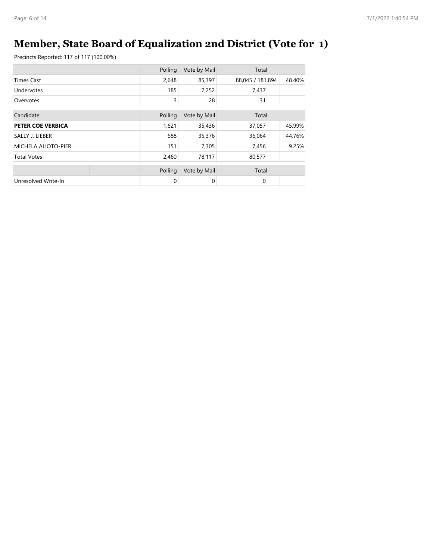# **Member, State Board of Equalization 2nd District (Vote for 1)**

|                     | Polling | Vote by Mail | Total            |        |
|---------------------|---------|--------------|------------------|--------|
| <b>Times Cast</b>   | 2,648   | 85,397       | 88,045 / 181,894 | 48.40% |
| Undervotes          | 185     | 7,252        | 7,437            |        |
| Overvotes           | 3       | 28           | 31               |        |
| Candidate           | Polling | Vote by Mail | Total            |        |
| PETER COE VERBICA   | 1,621   | 35,436       | 37,057           | 45.99% |
| SALLY J. LIEBER     | 688     | 35,376       | 36,064           | 44.76% |
| MICHELA ALIOTO-PIER | 151     | 7,305        | 7,456            | 9.25%  |
| <b>Total Votes</b>  | 2,460   | 78,117       | 80,577           |        |
|                     | Polling | Vote by Mail | Total            |        |
| Unresolved Write-In | 0       | 0            | 0                |        |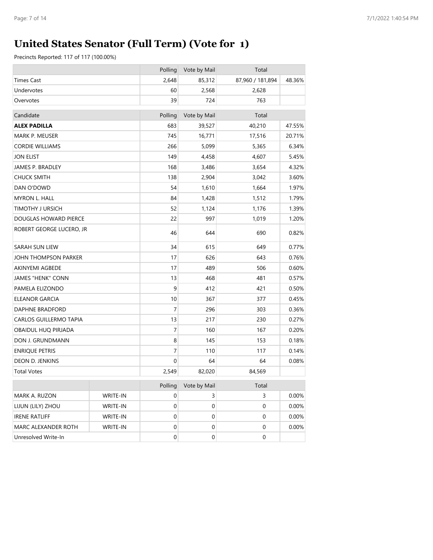# **United States Senator (Full Term) (Vote for 1)**

|                          |          | Polling | Vote by Mail     | Total            |        |
|--------------------------|----------|---------|------------------|------------------|--------|
| <b>Times Cast</b>        |          | 2,648   | 85,312           | 87,960 / 181,894 | 48.36% |
| Undervotes               |          | 60      | 2,568            | 2,628            |        |
| Overvotes                |          | 39      | 724              | 763              |        |
| Candidate                |          | Polling | Vote by Mail     | Total            |        |
| ALEX PADILLA             |          | 683     | 39,527           | 40,210           | 47.55% |
| MARK P. MEUSER           |          | 745     | 16,771           | 17,516           | 20.71% |
| <b>CORDIE WILLIAMS</b>   |          | 266     | 5,099            | 5,365            | 6.34%  |
| JON ELIST                |          | 149     | 4,458            | 4,607            | 5.45%  |
| JAMES P. BRADLEY         |          | 168     | 3,486            | 3,654            | 4.32%  |
| <b>CHUCK SMITH</b>       |          | 138     | 2,904            | 3,042            | 3.60%  |
| DAN O'DOWD               |          | 54      | 1,610            | 1,664            | 1.97%  |
| MYRON L. HALL            |          | 84      | 1,428            | 1,512            | 1.79%  |
| <b>TIMOTHY J URSICH</b>  |          | 52      | 1,124            | 1,176            | 1.39%  |
| DOUGLAS HOWARD PIERCE    |          | 22      | 997              | 1,019            | 1.20%  |
| ROBERT GEORGE LUCERO, JR |          | 46      | 644              | 690              | 0.82%  |
| <b>SARAH SUN LIEW</b>    |          | 34      | 615              | 649              | 0.77%  |
| JOHN THOMPSON PARKER     |          | 17      | 626              | 643              | 0.76%  |
| AKINYEMI AGBEDE          |          | 17      | 489              | 506              | 0.60%  |
| JAMES "HENK" CONN        |          | 13      | 468              | 481              | 0.57%  |
| PAMELA ELIZONDO          |          | 9       | 412              | 421              | 0.50%  |
| ELEANOR GARCIA           |          | 10      | 367              | 377              | 0.45%  |
| DAPHNE BRADFORD          |          | 7       | 296              | 303              | 0.36%  |
| CARLOS GUILLERMO TAPIA   |          | 13      | 217              | 230              | 0.27%  |
| OBAIDUL HUQ PIRJADA      |          | 7       | 160              | 167              | 0.20%  |
| DON J. GRUNDMANN         |          | 8       | 145              | 153              | 0.18%  |
| <b>ENRIQUE PETRIS</b>    |          | 7       | 110              | 117              | 0.14%  |
| DEON D. JENKINS          |          | 0       | 64               | 64               | 0.08%  |
| <b>Total Votes</b>       |          | 2,549   | 82,020           | 84,569           |        |
|                          |          | Polling | Vote by Mail     | Total            |        |
| MARK A. RUZON            | WRITE-IN | 0       | 3                | 3                | 0.00%  |
| LIJUN (LILY) ZHOU        | WRITE-IN | 0       | 0                | 0                | 0.00%  |
| <b>IRENE RATLIFF</b>     | WRITE-IN | 0       | $\mathbf 0$      | 0                | 0.00%  |
| MARC ALEXANDER ROTH      | WRITE-IN | 0       | 0                | 0                | 0.00%  |
| Unresolved Write-In      |          | 0       | $\boldsymbol{0}$ | 0                |        |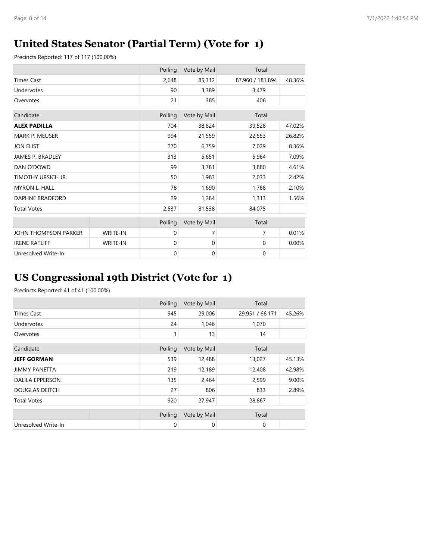## **United States Senator (Partial Term) (Vote for 1)**

Precincts Reported: 117 of 117 (100.00%)

|                         |          | Polling     | Vote by Mail | Total            |        |
|-------------------------|----------|-------------|--------------|------------------|--------|
| <b>Times Cast</b>       |          | 2,648       | 85,312       | 87,960 / 181,894 | 48.36% |
| Undervotes              |          | 90          | 3,389        | 3,479            |        |
| Overvotes               |          | 21          | 385          | 406              |        |
| Candidate               |          | Polling     | Vote by Mail | Total            |        |
| <b>ALEX PADILLA</b>     |          | 704         | 38,824       | 39,528           | 47.02% |
| <b>MARK P. MEUSER</b>   |          | 994         | 21,559       | 22,553           | 26.82% |
| <b>JON ELIST</b>        |          | 270         | 6,759        | 7,029            | 8.36%  |
| <b>JAMES P. BRADLEY</b> |          | 313         | 5,651        | 5,964            | 7.09%  |
| DAN O'DOWD              |          | 99          | 3,781        | 3,880            | 4.61%  |
| TIMOTHY URSICH JR.      |          | 50          | 1,983        | 2,033            | 2.42%  |
| <b>MYRON L. HALL</b>    |          | 78          | 1,690        | 1,768            | 2.10%  |
| <b>DAPHNE BRADFORD</b>  |          | 29          | 1,284        | 1,313            | 1.56%  |
| <b>Total Votes</b>      |          | 2,537       | 81,538       | 84,075           |        |
|                         |          | Polling     | Vote by Mail | Total            |        |
| JOHN THOMPSON PARKER    | WRITE-IN | $\mathbf 0$ | 7            | $\overline{7}$   | 0.01%  |
| <b>IRENE RATLIFF</b>    | WRITE-IN | $\mathbf 0$ | $\mathbf 0$  | 0                | 0.00%  |
| Unresolved Write-In     |          | $\mathbf 0$ | $\mathbf 0$  | $\mathbf 0$      |        |

## **US Congressional 19th District (Vote for 1)**

|                        | Polling | Vote by Mail | Total           |        |
|------------------------|---------|--------------|-----------------|--------|
| <b>Times Cast</b>      | 945     | 29,006       | 29,951 / 66,171 | 45.26% |
| Undervotes             | 24      | 1,046        | 1,070           |        |
| Overvotes              |         | 13           | 14              |        |
| Candidate              | Polling | Vote by Mail | Total           |        |
| <b>JEFF GORMAN</b>     | 539     | 12,488       | 13,027          | 45.13% |
| <b>JIMMY PANETTA</b>   | 219     | 12,189       | 12,408          | 42.98% |
| <b>DALILA EPPERSON</b> | 135     | 2,464        | 2,599           | 9.00%  |
| <b>DOUGLAS DEITCH</b>  | 27      | 806          | 833             | 2.89%  |
| <b>Total Votes</b>     | 920     | 27,947       | 28,867          |        |
|                        | Polling | Vote by Mail | Total           |        |
| Unresolved Write-In    | 0       | 0            | 0               |        |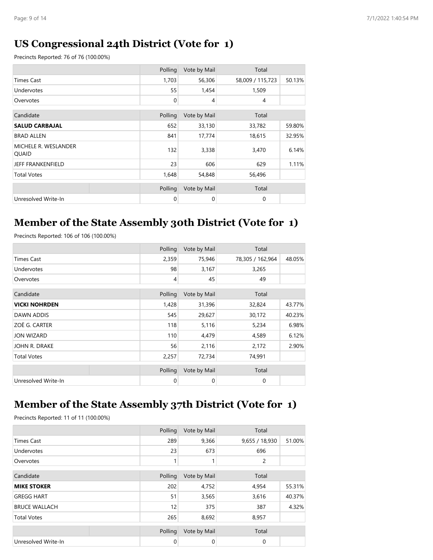### **US Congressional 24th District (Vote for 1)**

Precincts Reported: 76 of 76 (100.00%)

|                               | Polling     | Vote by Mail   | Total            |        |
|-------------------------------|-------------|----------------|------------------|--------|
| <b>Times Cast</b>             | 1,703       | 56,306         | 58,009 / 115,723 | 50.13% |
| Undervotes                    | 55          | 1,454          | 1,509            |        |
| Overvotes                     | $\mathbf 0$ | $\overline{4}$ | 4                |        |
|                               |             |                |                  |        |
| Candidate                     | Polling     | Vote by Mail   | Total            |        |
| <b>SALUD CARBAJAL</b>         | 652         | 33,130         | 33,782           | 59.80% |
| <b>BRAD ALLEN</b>             | 841         | 17,774         | 18,615           | 32.95% |
| MICHELE R. WESLANDER<br>QUAID | 132         | 3,338          | 3,470            | 6.14%  |
| JEFF FRANKENFIELD             | 23          | 606            | 629              | 1.11%  |
| <b>Total Votes</b>            | 1,648       | 54,848         | 56,496           |        |
|                               |             |                |                  |        |
|                               | Polling     | Vote by Mail   | Total            |        |
| Unresolved Write-In           | 0           | $\Omega$       | 0                |        |

## **Member of the State Assembly 30th District (Vote for 1)**

Precincts Reported: 106 of 106 (100.00%)

|                      | Polling        | Vote by Mail | Total            |        |
|----------------------|----------------|--------------|------------------|--------|
| <b>Times Cast</b>    | 2,359          | 75,946       | 78,305 / 162,964 | 48.05% |
| Undervotes           | 98             | 3,167        | 3,265            |        |
| Overvotes            | $\overline{4}$ | 45           | 49               |        |
| Candidate            | Polling        | Vote by Mail | Total            |        |
| <b>VICKI NOHRDEN</b> | 1,428          | 31,396       | 32,824           | 43.77% |
| DAWN ADDIS           | 545            | 29,627       | 30,172           | 40.23% |
| ZOË G. CARTER        | 118            | 5,116        | 5,234            | 6.98%  |
| <b>JON WIZARD</b>    | 110            | 4,479        | 4,589            | 6.12%  |
| JOHN R. DRAKE        | 56             | 2,116        | 2,172            | 2.90%  |
| <b>Total Votes</b>   | 2,257          | 72,734       | 74,991           |        |
|                      | Polling        | Vote by Mail | Total            |        |
| Unresolved Write-In  | $\mathbf 0$    | 0            | $\mathbf 0$      |        |

#### **Member of the State Assembly 37th District (Vote for 1)**

|                      | Polling     | Vote by Mail | Total          |        |
|----------------------|-------------|--------------|----------------|--------|
| <b>Times Cast</b>    | 289         | 9,366        | 9,655 / 18,930 | 51.00% |
| Undervotes           | 23          | 673          | 696            |        |
| Overvotes            |             |              | 2              |        |
| Candidate            | Polling     | Vote by Mail | Total          |        |
| <b>MIKE STOKER</b>   | 202         | 4,752        | 4,954          | 55.31% |
| <b>GREGG HART</b>    | 51          | 3,565        | 3,616          | 40.37% |
| <b>BRUCE WALLACH</b> | 12          | 375          | 387            | 4.32%  |
| <b>Total Votes</b>   | 265         | 8,692        | 8,957          |        |
|                      | Polling     | Vote by Mail | Total          |        |
| Unresolved Write-In  | $\mathbf 0$ | 0            | 0              |        |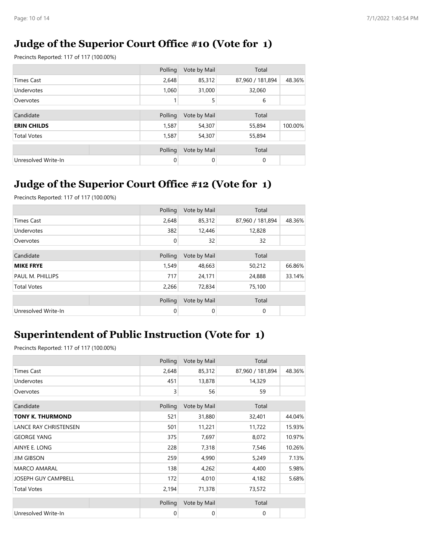### **Judge of the Superior Court Office #10 (Vote for 1)**

Precincts Reported: 117 of 117 (100.00%)

|                     | Polling | Vote by Mail | Total            |         |
|---------------------|---------|--------------|------------------|---------|
| <b>Times Cast</b>   | 2,648   | 85,312       | 87,960 / 181,894 | 48.36%  |
| Undervotes          | 1,060   | 31,000       | 32,060           |         |
| Overvotes           |         | 5            | 6                |         |
|                     |         |              |                  |         |
| Candidate           | Polling | Vote by Mail | Total            |         |
| <b>ERIN CHILDS</b>  | 1,587   | 54,307       | 55,894           | 100.00% |
| <b>Total Votes</b>  | 1,587   | 54,307       | 55,894           |         |
|                     | Polling | Vote by Mail | Total            |         |
| Unresolved Write-In | 0       | 0            | 0                |         |

## **Judge of the Superior Court Office #12 (Vote for 1)**

Precincts Reported: 117 of 117 (100.00%)

|                     | Polling     | Vote by Mail | Total            |        |
|---------------------|-------------|--------------|------------------|--------|
| Times Cast          | 2,648       | 85,312       | 87,960 / 181,894 | 48.36% |
| Undervotes          | 382         | 12,446       | 12,828           |        |
| Overvotes           | 0           | 32           | 32               |        |
|                     |             |              |                  |        |
| Candidate           | Polling     | Vote by Mail | Total            |        |
| <b>MIKE FRYE</b>    | 1,549       | 48,663       | 50,212           | 66.86% |
| PAUL M. PHILLIPS    | 717         | 24,171       | 24,888           | 33.14% |
| <b>Total Votes</b>  | 2,266       | 72,834       | 75,100           |        |
|                     | Polling     | Vote by Mail | Total            |        |
| Unresolved Write-In | $\mathbf 0$ | $\mathbf 0$  | $\mathbf 0$      |        |

### **Superintendent of Public Instruction (Vote for 1)**

|                              | Polling | Vote by Mail | Total            |        |
|------------------------------|---------|--------------|------------------|--------|
| <b>Times Cast</b>            | 2,648   | 85,312       | 87,960 / 181,894 | 48.36% |
| Undervotes                   | 451     | 13,878       | 14,329           |        |
| Overvotes                    | 3       | 56           | 59               |        |
| Candidate                    | Polling | Vote by Mail | Total            |        |
| <b>TONY K. THURMOND</b>      | 521     | 31,880       | 32,401           | 44.04% |
| <b>LANCE RAY CHRISTENSEN</b> | 501     | 11,221       | 11,722           | 15.93% |
| <b>GEORGE YANG</b>           | 375     | 7,697        | 8,072            | 10.97% |
| AINYE E. LONG                | 228     | 7,318        | 7,546            | 10.26% |
| <b>JIM GIBSON</b>            | 259     | 4,990        | 5,249            | 7.13%  |
| <b>MARCO AMARAL</b>          | 138     | 4,262        | 4,400            | 5.98%  |
| JOSEPH GUY CAMPBELL          | 172     | 4,010        | 4,182            | 5.68%  |
| <b>Total Votes</b>           | 2,194   | 71,378       | 73,572           |        |
|                              | Polling | Vote by Mail | Total            |        |
| Unresolved Write-In          | 0       | 0            | $\mathbf 0$      |        |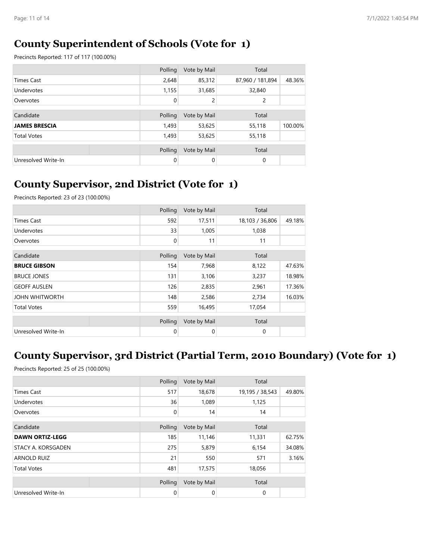#### **County Superintendent of Schools (Vote for 1)**

Precincts Reported: 117 of 117 (100.00%)

|                      | Polling     | Vote by Mail | Total            |         |
|----------------------|-------------|--------------|------------------|---------|
| <b>Times Cast</b>    | 2,648       | 85,312       | 87,960 / 181,894 | 48.36%  |
| Undervotes           | 1,155       | 31,685       | 32,840           |         |
| Overvotes            | $\mathbf 0$ | 2            | 2                |         |
|                      |             |              |                  |         |
| Candidate            | Polling     | Vote by Mail | Total            |         |
| <b>JAMES BRESCIA</b> | 1,493       | 53,625       | 55,118           | 100.00% |
| <b>Total Votes</b>   | 1,493       | 53,625       | 55,118           |         |
|                      |             |              |                  |         |
|                      | Polling     | Vote by Mail | Total            |         |
| Unresolved Write-In  | 0           | 0            | 0                |         |

### **County Supervisor, 2nd District (Vote for 1)**

Precincts Reported: 23 of 23 (100.00%)

|                       | Polling | Vote by Mail | Total           |        |
|-----------------------|---------|--------------|-----------------|--------|
| <b>Times Cast</b>     | 592     | 17,511       | 18,103 / 36,806 | 49.18% |
| Undervotes            | 33      | 1,005        | 1,038           |        |
| Overvotes             | 0       | 11           | 11              |        |
| Candidate             | Polling | Vote by Mail | Total           |        |
| <b>BRUCE GIBSON</b>   | 154     | 7,968        | 8,122           | 47.63% |
| <b>BRUCE JONES</b>    | 131     | 3,106        | 3,237           | 18.98% |
| <b>GEOFF AUSLEN</b>   | 126     | 2,835        | 2,961           | 17.36% |
| <b>JOHN WHITWORTH</b> | 148     | 2,586        | 2,734           | 16.03% |
| <b>Total Votes</b>    | 559     | 16,495       | 17,054          |        |
|                       | Polling | Vote by Mail | Total           |        |
| Unresolved Write-In   | 0       | $\mathbf 0$  | 0               |        |

## **County Supervisor, 3rd District (Partial Term, 2010 Boundary) (Vote for 1)**

Precincts Reported: 25 of 25 (100.00%)

|                           | Polling | Vote by Mail | Total           |        |
|---------------------------|---------|--------------|-----------------|--------|
| <b>Times Cast</b>         | 517     | 18,678       | 19,195 / 38,543 | 49.80% |
| Undervotes                | 36      | 1,089        | 1,125           |        |
| Overvotes                 | 0       | 14           | 14              |        |
| Candidate                 | Polling | Vote by Mail | Total           |        |
| <b>DAWN ORTIZ-LEGG</b>    | 185     | 11,146       | 11,331          | 62.75% |
| <b>STACY A. KORSGADEN</b> | 275     | 5,879        | 6,154           | 34.08% |
| <b>ARNOLD RUIZ</b>        | 21      | 550          | 571             | 3.16%  |
| <b>Total Votes</b>        | 481     | 17,575       | 18,056          |        |
|                           | Polling | Vote by Mail | Total           |        |
| Unresolved Write-In       | 0       | 0            | 0               |        |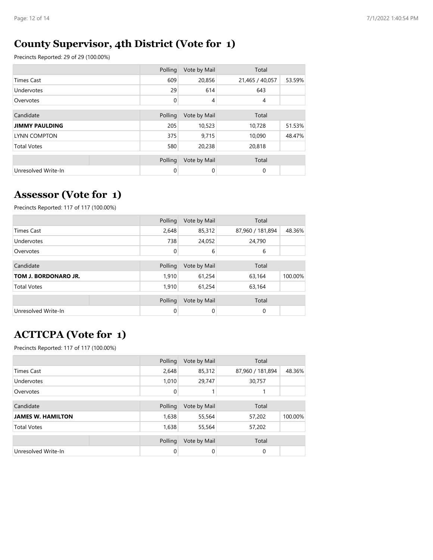## **County Supervisor, 4th District (Vote for 1)**

Precincts Reported: 29 of 29 (100.00%)

|                       | Polling | Vote by Mail   | Total           |        |
|-----------------------|---------|----------------|-----------------|--------|
| <b>Times Cast</b>     | 609     | 20,856         | 21,465 / 40,057 | 53.59% |
| Undervotes            | 29      | 614            | 643             |        |
| Overvotes             | 0       | $\overline{4}$ | $\overline{4}$  |        |
|                       |         |                |                 |        |
| Candidate             | Polling | Vote by Mail   | Total           |        |
| <b>JIMMY PAULDING</b> | 205     | 10,523         | 10,728          | 51.53% |
| <b>LYNN COMPTON</b>   | 375     | 9,715          | 10,090          | 48.47% |
| <b>Total Votes</b>    | 580     | 20,238         | 20,818          |        |
|                       |         |                |                 |        |
|                       | Polling | Vote by Mail   | Total           |        |
| Unresolved Write-In   | 0       | 0              | $\mathbf 0$     |        |

### **Assessor (Vote for 1)**

Precincts Reported: 117 of 117 (100.00%)

|                      | Polling     | Vote by Mail | Total            |         |
|----------------------|-------------|--------------|------------------|---------|
| <b>Times Cast</b>    | 2,648       | 85,312       | 87,960 / 181,894 | 48.36%  |
| Undervotes           | 738         | 24,052       | 24,790           |         |
| Overvotes            | $\mathbf 0$ | 6            | 6                |         |
|                      |             |              |                  |         |
| Candidate            | Polling     | Vote by Mail | Total            |         |
| TOM J. BORDONARO JR. | 1,910       | 61,254       | 63,164           | 100.00% |
| <b>Total Votes</b>   | 1,910       | 61,254       | 63,164           |         |
|                      |             |              |                  |         |
|                      | Polling     | Vote by Mail | Total            |         |
| Unresolved Write-In  | $\Omega$    | 0            | 0                |         |

# **ACTTCPA (Vote for 1)**

|                          | Polling | Vote by Mail | Total            |         |
|--------------------------|---------|--------------|------------------|---------|
| <b>Times Cast</b>        | 2,648   | 85,312       | 87,960 / 181,894 | 48.36%  |
| Undervotes               | 1,010   | 29,747       | 30,757           |         |
| Overvotes                | 0       |              |                  |         |
|                          |         |              |                  |         |
| Candidate                | Polling | Vote by Mail | Total            |         |
| <b>JAMES W. HAMILTON</b> | 1,638   | 55,564       | 57,202           | 100.00% |
| <b>Total Votes</b>       | 1,638   | 55,564       | 57,202           |         |
|                          |         |              |                  |         |
|                          | Polling | Vote by Mail | Total            |         |
| Unresolved Write-In      | 0       | 0            | 0                |         |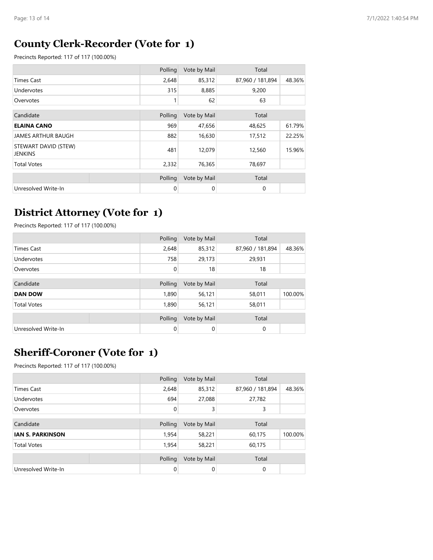### **County Clerk-Recorder (Vote for 1)**

Precincts Reported: 117 of 117 (100.00%)

|                                 | Polling | Vote by Mail | Total            |        |
|---------------------------------|---------|--------------|------------------|--------|
| <b>Times Cast</b>               | 2,648   | 85,312       | 87,960 / 181,894 | 48.36% |
| Undervotes                      | 315     | 8,885        | 9,200            |        |
| Overvotes                       |         | 62           | 63               |        |
|                                 |         |              |                  |        |
| Candidate                       | Polling | Vote by Mail | Total            |        |
| <b>ELAINA CANO</b>              | 969     | 47,656       | 48,625           | 61.79% |
| <b>JAMES ARTHUR BAUGH</b>       | 882     | 16,630       | 17,512           | 22.25% |
| STEWART DAVID (STEW)<br>JENKINS | 481     | 12,079       | 12,560           | 15.96% |
| <b>Total Votes</b>              | 2,332   | 76,365       | 78,697           |        |
|                                 |         |              |                  |        |
|                                 | Polling | Vote by Mail | Total            |        |
| Unresolved Write-In             | 0       | 0            | 0                |        |

#### **District Attorney (Vote for 1)**

Precincts Reported: 117 of 117 (100.00%)

|                     |  | Polling     | Vote by Mail | Total            |         |
|---------------------|--|-------------|--------------|------------------|---------|
| <b>Times Cast</b>   |  | 2,648       | 85,312       | 87,960 / 181,894 | 48.36%  |
| Undervotes          |  | 758         | 29,173       | 29,931           |         |
| Overvotes           |  | $\mathbf 0$ | 18           | 18               |         |
| Candidate           |  | Polling     | Vote by Mail | Total            |         |
| <b>DAN DOW</b>      |  | 1,890       | 56,121       | 58,011           | 100.00% |
| <b>Total Votes</b>  |  | 1,890       | 56,121       | 58,011           |         |
|                     |  | Polling     | Vote by Mail | Total            |         |
| Unresolved Write-In |  | $\mathbf 0$ | 0            | 0                |         |

### **Sheriff-Coroner (Vote for 1)**

|                         | Polling     | Vote by Mail | Total            |         |
|-------------------------|-------------|--------------|------------------|---------|
| Times Cast              | 2,648       | 85,312       | 87,960 / 181,894 | 48.36%  |
| Undervotes              | 694         | 27,088       | 27,782           |         |
| Overvotes               | $\mathbf 0$ | 3            | 3                |         |
|                         |             |              |                  |         |
| Candidate               | Polling     | Vote by Mail | Total            |         |
| <b>IAN S. PARKINSON</b> | 1,954       | 58,221       | 60,175           | 100.00% |
| <b>Total Votes</b>      | 1,954       | 58,221       | 60,175           |         |
|                         |             |              |                  |         |
|                         | Polling     | Vote by Mail | Total            |         |
| Unresolved Write-In     | $\mathbf 0$ | 0            | $\mathbf 0$      |         |